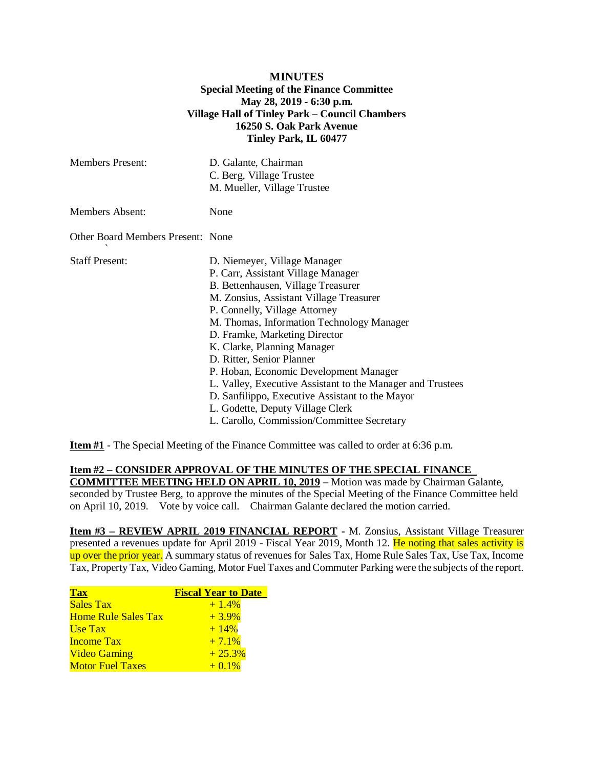## **MINUTES Special Meeting of the Finance Committee May 28, 2019 - 6:30 p.m. Village Hall of Tinley Park – Council Chambers 16250 S. Oak Park Avenue Tinley Park, IL 60477**

| <b>Members Present:</b>           | D. Galante, Chairman<br>C. Berg, Village Trustee<br>M. Mueller, Village Trustee                                                                                                                                                                                                                                                                                                                                                                                                                                                                                             |
|-----------------------------------|-----------------------------------------------------------------------------------------------------------------------------------------------------------------------------------------------------------------------------------------------------------------------------------------------------------------------------------------------------------------------------------------------------------------------------------------------------------------------------------------------------------------------------------------------------------------------------|
| <b>Members Absent:</b>            | None                                                                                                                                                                                                                                                                                                                                                                                                                                                                                                                                                                        |
| Other Board Members Present: None |                                                                                                                                                                                                                                                                                                                                                                                                                                                                                                                                                                             |
| <b>Staff Present:</b>             | D. Niemeyer, Village Manager<br>P. Carr, Assistant Village Manager<br>B. Bettenhausen, Village Treasurer<br>M. Zonsius, Assistant Village Treasurer<br>P. Connelly, Village Attorney<br>M. Thomas, Information Technology Manager<br>D. Framke, Marketing Director<br>K. Clarke, Planning Manager<br>D. Ritter, Senior Planner<br>P. Hoban, Economic Development Manager<br>L. Valley, Executive Assistant to the Manager and Trustees<br>D. Sanfilippo, Executive Assistant to the Mayor<br>L. Godette, Deputy Village Clerk<br>L. Carollo, Commission/Committee Secretary |

**Item #1** - The Special Meeting of the Finance Committee was called to order at 6:36 p.m.

## **Item #2 – CONSIDER APPROVAL OF THE MINUTES OF THE SPECIAL FINANCE**

**COMMITTEE MEETING HELD ON APRIL 10, 2019 –** Motion was made by Chairman Galante, seconded by Trustee Berg, to approve the minutes of the Special Meeting of the Finance Committee held on April 10, 2019. Vote by voice call. Chairman Galante declared the motion carried.

**Item #3 – REVIEW APRIL 2019 FINANCIAL REPORT -** M. Zonsius, Assistant Village Treasurer presented a revenues update for April 2019 - Fiscal Year 2019, Month 12. He noting that sales activity is up over the prior year. A summary status of revenues for Sales Tax, Home Rule Sales Tax, Use Tax, Income Tax, Property Tax, Video Gaming, Motor Fuel Taxes and Commuter Parking were the subjects of the report.

| <b>Tax</b>                 | <b>Fiscal Year to Date</b> |
|----------------------------|----------------------------|
| <b>Sales Tax</b>           | $+1.4%$                    |
| <b>Home Rule Sales Tax</b> | $+3.9\%$                   |
| Use Tax                    | $+14%$                     |
| <b>Income Tax</b>          | $+7.1%$                    |
| <b>Video Gaming</b>        | $+25.3%$                   |
| <b>Motor Fuel Taxes</b>    | $+0.1%$                    |